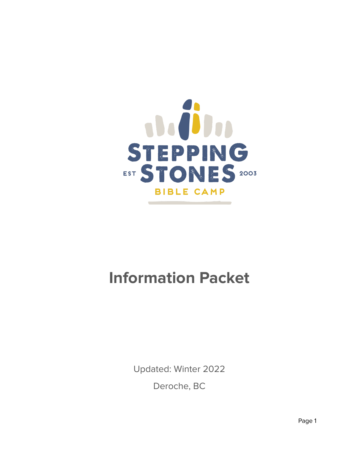

# **Information Packet**

Updated: Winter 2022 Deroche, BC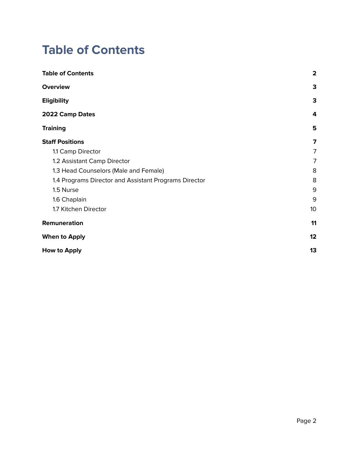### <span id="page-1-0"></span>**Table of Contents**

| <b>Table of Contents</b>                              | $\overline{\mathbf{2}}$ |
|-------------------------------------------------------|-------------------------|
| <b>Overview</b>                                       | 3                       |
| <b>Eligibility</b>                                    | 3                       |
| 2022 Camp Dates                                       | 4                       |
| <b>Training</b>                                       | 5                       |
| <b>Staff Positions</b>                                | 7                       |
| 1.1 Camp Director                                     | 7                       |
| 1.2 Assistant Camp Director                           | $\overline{7}$          |
| 1.3 Head Counselors (Male and Female)                 | 8                       |
| 1.4 Programs Director and Assistant Programs Director | 8                       |
| 1.5 Nurse                                             | 9                       |
| 1.6 Chaplain                                          | 9                       |
| 1.7 Kitchen Director                                  | 10                      |
| Remuneration                                          | 11                      |
| <b>When to Apply</b>                                  | 12                      |
| How to Apply                                          | 13                      |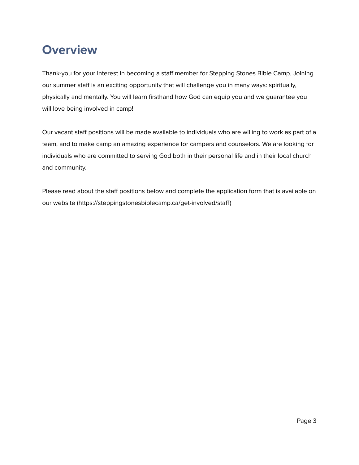### <span id="page-2-0"></span>**Overview**

Thank-you for your interest in becoming a staff member for Stepping Stones Bible Camp. Joining our summer staff is an exciting opportunity that will challenge you in many ways: spiritually, physically and mentally. You will learn firsthand how God can equip you and we guarantee you will love being involved in camp!

Our vacant staff positions will be made available to individuals who are willing to work as part of a team, and to make camp an amazing experience for campers and counselors. We are looking for individuals who are committed to serving God both in their personal life and in their local church and community.

Please read about the staff positions below and complete the application form that is available on our website (https://steppingstonesbiblecamp.ca/get-involved/staff)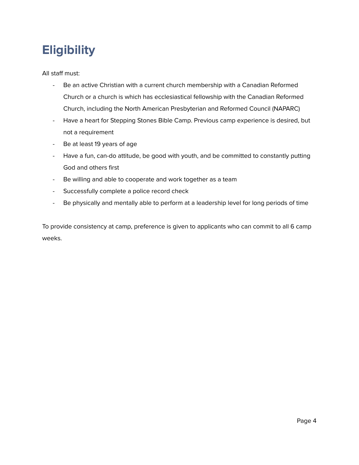### <span id="page-3-0"></span>**Eligibility**

All staff must:

- Be an active Christian with a current church membership with a Canadian Reformed Church or a church is which has ecclesiastical fellowship with the Canadian Reformed Church, including the North American Presbyterian and Reformed Council (NAPARC)
- Have a heart for Stepping Stones Bible Camp. Previous camp experience is desired, but not a requirement
- Be at least 19 years of age
- Have a fun, can-do attitude, be good with youth, and be committed to constantly putting God and others first
- Be willing and able to cooperate and work together as a team
- Successfully complete a police record check
- Be physically and mentally able to perform at a leadership level for long periods of time

To provide consistency at camp, preference is given to applicants who can commit to all 6 camp weeks.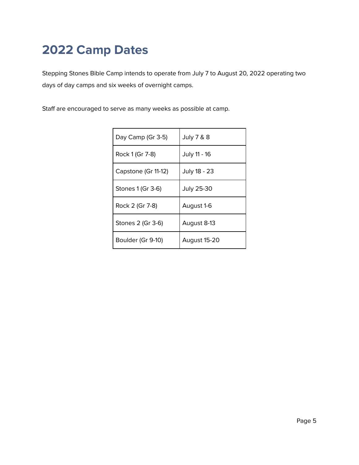## <span id="page-4-0"></span>**2022 Camp Dates**

Stepping Stones Bible Camp intends to operate from July 7 to August 20, 2022 operating two days of day camps and six weeks of overnight camps.

Staff are encouraged to serve as many weeks as possible at camp.

| Day Camp (Gr 3-5)   | <b>July 7 &amp; 8</b> |  |
|---------------------|-----------------------|--|
| Rock 1 (Gr 7-8)     | July 11 - 16          |  |
| Capstone (Gr 11-12) | July 18 - 23          |  |
| Stones 1 (Gr 3-6)   | July 25-30            |  |
| Rock 2 (Gr 7-8)     | August 1-6            |  |
| Stones 2 (Gr 3-6)   | August 8-13           |  |
| Boulder (Gr 9-10)   | August 15-20          |  |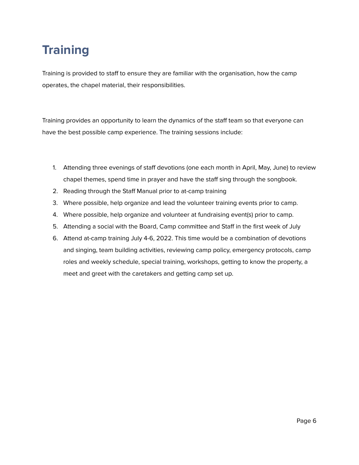## <span id="page-5-0"></span>**Training**

Training is provided to staff to ensure they are familiar with the organisation, how the camp operates, the chapel material, their responsibilities.

Training provides an opportunity to learn the dynamics of the staff team so that everyone can have the best possible camp experience. The training sessions include:

- 1. Attending three evenings of staff devotions (one each month in April, May, June) to review chapel themes, spend time in prayer and have the staff sing through the songbook.
- 2. Reading through the Staff Manual prior to at-camp training
- 3. Where possible, help organize and lead the volunteer training events prior to camp.
- 4. Where possible, help organize and volunteer at fundraising event(s) prior to camp.
- 5. Attending a social with the Board, Camp committee and Staff in the first week of July
- 6. Attend at-camp training July 4-6, 2022. This time would be a combination of devotions and singing, team building activities, reviewing camp policy, emergency protocols, camp roles and weekly schedule, special training, workshops, getting to know the property, a meet and greet with the caretakers and getting camp set up.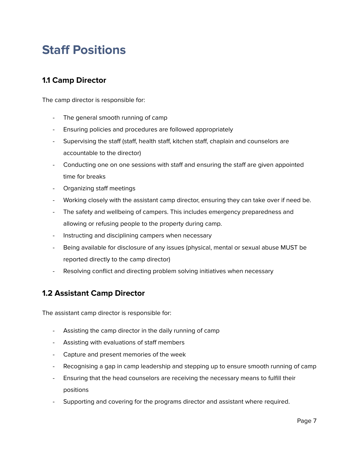### <span id="page-6-0"></span>**Staff Positions**

#### <span id="page-6-1"></span>**1.1 Camp Director**

The camp director is responsible for:

- The general smooth running of camp
- Ensuring policies and procedures are followed appropriately
- Supervising the staff (staff, health staff, kitchen staff, chaplain and counselors are accountable to the director)
- Conducting one on one sessions with staff and ensuring the staff are given appointed time for breaks
- Organizing staff meetings
- Working closely with the assistant camp director, ensuring they can take over if need be.
- The safety and wellbeing of campers. This includes emergency preparedness and allowing or refusing people to the property during camp.
- Instructing and disciplining campers when necessary
- Being available for disclosure of any issues (physical, mental or sexual abuse MUST be reported directly to the camp director)
- Resolving conflict and directing problem solving initiatives when necessary

#### <span id="page-6-2"></span>**1.2 Assistant Camp Director**

The assistant camp director is responsible for:

- Assisting the camp director in the daily running of camp
- Assisting with evaluations of staff members
- Capture and present memories of the week
- Recognising a gap in camp leadership and stepping up to ensure smooth running of camp
- Ensuring that the head counselors are receiving the necessary means to fulfill their positions
- Supporting and covering for the programs director and assistant where required.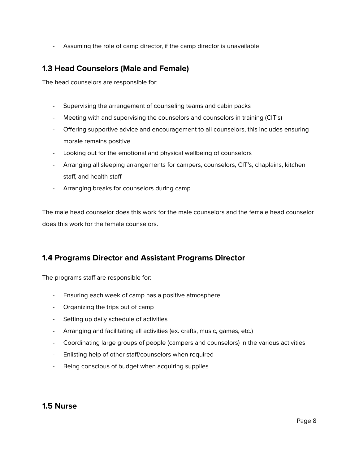- Assuming the role of camp director, if the camp director is unavailable

#### <span id="page-7-0"></span>**1.3 Head Counselors (Male and Female)**

The head counselors are responsible for:

- Supervising the arrangement of counseling teams and cabin packs
- Meeting with and supervising the counselors and counselors in training (CIT's)
- Offering supportive advice and encouragement to all counselors, this includes ensuring morale remains positive
- Looking out for the emotional and physical wellbeing of counselors
- Arranging all sleeping arrangements for campers, counselors, CIT's, chaplains, kitchen staff, and health staff
- Arranging breaks for counselors during camp

The male head counselor does this work for the male counselors and the female head counselor does this work for the female counselors.

#### <span id="page-7-1"></span>**1.4 Programs Director and Assistant Programs Director**

The programs staff are responsible for:

- Ensuring each week of camp has a positive atmosphere.
- Organizing the trips out of camp
- Setting up daily schedule of activities
- Arranging and facilitating all activities (ex. crafts, music, games, etc.)
- Coordinating large groups of people (campers and counselors) in the various activities
- Enlisting help of other staff/counselors when required
- Being conscious of budget when acquiring supplies

#### <span id="page-7-2"></span>**1.5 Nurse**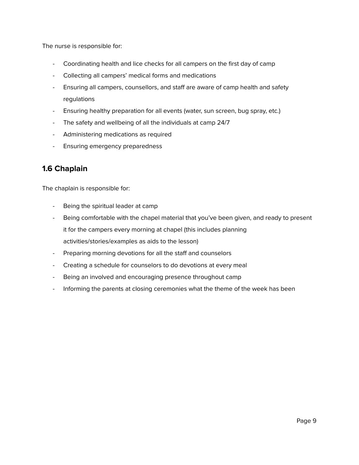The nurse is responsible for:

- Coordinating health and lice checks for all campers on the first day of camp
- Collecting all campers' medical forms and medications
- Ensuring all campers, counsellors, and staff are aware of camp health and safety regulations
- Ensuring healthy preparation for all events (water, sun screen, bug spray, etc.)
- The safety and wellbeing of all the individuals at camp 24/7
- Administering medications as required
- Ensuring emergency preparedness

#### <span id="page-8-0"></span>**1.6 Chaplain**

The chaplain is responsible for:

- Being the spiritual leader at camp
- Being comfortable with the chapel material that you've been given, and ready to present it for the campers every morning at chapel (this includes planning activities/stories/examples as aids to the lesson)
- Preparing morning devotions for all the staff and counselors
- Creating a schedule for counselors to do devotions at every meal
- Being an involved and encouraging presence throughout camp
- Informing the parents at closing ceremonies what the theme of the week has been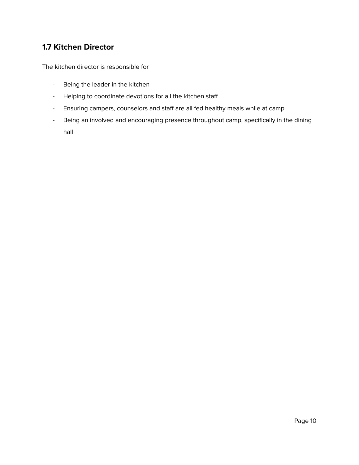#### <span id="page-9-0"></span>**1.7 Kitchen Director**

The kitchen director is responsible for

- Being the leader in the kitchen
- Helping to coordinate devotions for all the kitchen staff
- Ensuring campers, counselors and staff are all fed healthy meals while at camp
- Being an involved and encouraging presence throughout camp, specifically in the dining hall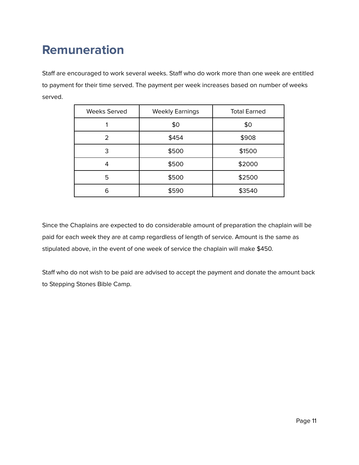## <span id="page-10-0"></span>**Remuneration**

Staff are encouraged to work several weeks. Staff who do work more than one week are entitled to payment for their time served. The payment per week increases based on number of weeks served.

| <b>Weeks Served</b> | <b>Weekly Earnings</b> | <b>Total Earned</b> |
|---------------------|------------------------|---------------------|
|                     | \$0                    | \$0                 |
| 2                   | \$454                  | \$908               |
| 3                   | \$500                  | \$1500              |
| 4                   | \$500                  | \$2000              |
| 5                   | \$500                  | \$2500              |
| 6                   | \$590                  | \$3540              |

Since the Chaplains are expected to do considerable amount of preparation the chaplain will be paid for each week they are at camp regardless of length of service. Amount is the same as stipulated above, in the event of one week of service the chaplain will make \$450.

Staff who do not wish to be paid are advised to accept the payment and donate the amount back to Stepping Stones Bible Camp.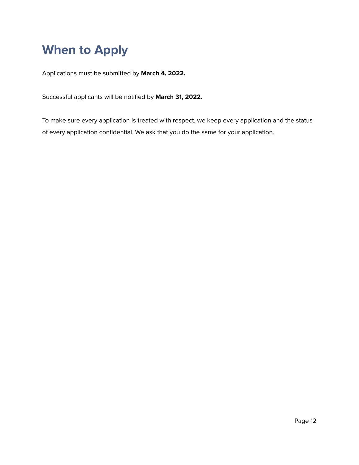### <span id="page-11-0"></span>**When to Apply**

Applications must be submitted by **March 4, 2022.**

Successful applicants will be notified by **March 31, 2022.**

To make sure every application is treated with respect, we keep every application and the status of every application confidential. We ask that you do the same for your application.